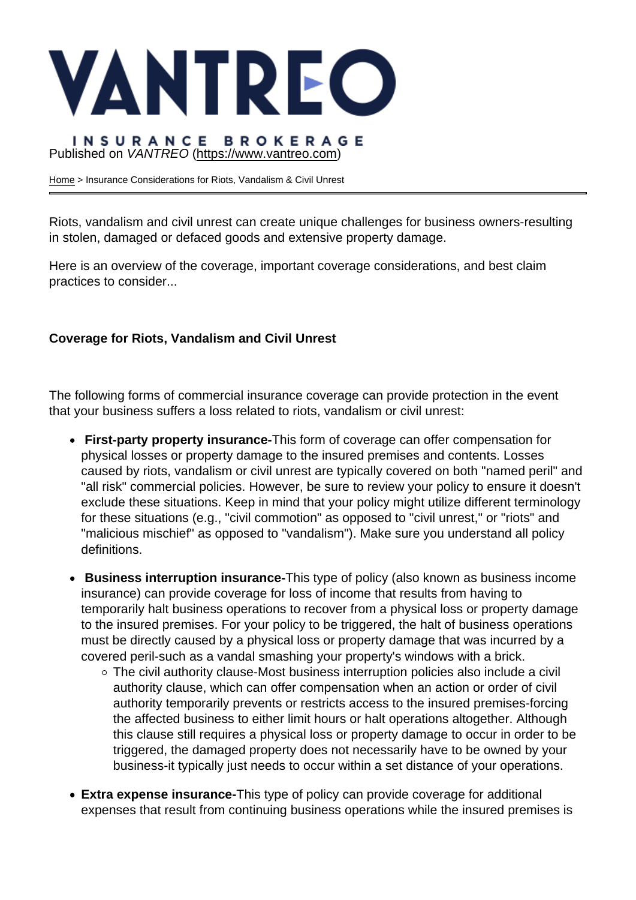## Published on VANTREO [\(https://www.vantreo.com](https://www.vantreo.com))

[Home](https://www.vantreo.com/) > Insurance Considerations for Riots, Vandalism & Civil Unrest

Riots, vandalism and civil unrest can create unique challenges for business owners-resulting in stolen, damaged or defaced goods and extensive property damage.

Here is an overview of the coverage, important coverage considerations, and best claim practices to consider...

Coverage for Riots, Vandalism and Civil Unrest

The following forms of commercial insurance coverage can provide protection in the event that your business suffers a loss related to riots, vandalism or civil unrest:

- First-party property insurance- This form of coverage can offer compensation for physical losses or property damage to the insured premises and contents. Losses caused by riots, vandalism or civil unrest are typically covered on both "named peril" and "all risk" commercial policies. However, be sure to review your policy to ensure it doesn't exclude these situations. Keep in mind that your policy might utilize different terminology for these situations (e.g., "civil commotion" as opposed to "civil unrest," or "riots" and "malicious mischief" as opposed to "vandalism"). Make sure you understand all policy definitions.
- Business interruption insurance- This type of policy (also known as business income insurance) can provide coverage for loss of income that results from having to temporarily halt business operations to recover from a physical loss or property damage to the insured premises. For your policy to be triggered, the halt of business operations must be directly caused by a physical loss or property damage that was incurred by a covered peril-such as a vandal smashing your property's windows with a brick.
	- The civil authority clause-Most business interruption policies also include a civil authority clause, which can offer compensation when an action or order of civil authority temporarily prevents or restricts access to the insured premises-forcing the affected business to either limit hours or halt operations altogether. Although this clause still requires a physical loss or property damage to occur in order to be triggered, the damaged property does not necessarily have to be owned by your business-it typically just needs to occur within a set distance of your operations.
- Extra expense insurance- This type of policy can provide coverage for additional expenses that result from continuing business operations while the insured premises is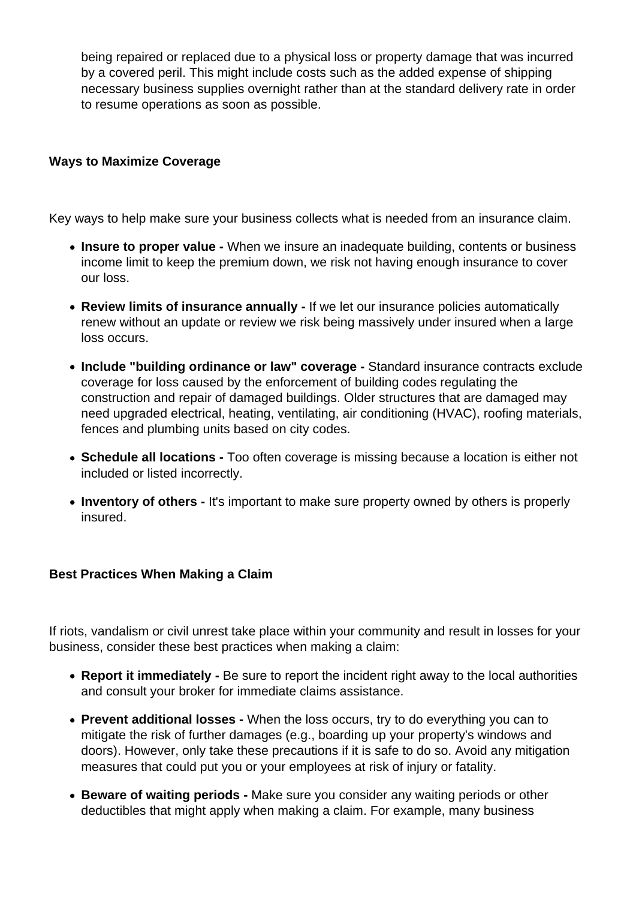being repaired or replaced due to a physical loss or property damage that was incurred by a covered peril. This might include costs such as the added expense of shipping necessary business supplies overnight rather than at the standard delivery rate in order to resume operations as soon as possible.

## **Ways to Maximize Coverage**

Key ways to help make sure your business collects what is needed from an insurance claim.

- **Insure to proper value -** When we insure an inadequate building, contents or business income limit to keep the premium down, we risk not having enough insurance to cover our loss.
- **Review limits of insurance annually -** If we let our insurance policies automatically renew without an update or review we risk being massively under insured when a large loss occurs.
- **Include "building ordinance or law" coverage -** Standard insurance contracts exclude coverage for loss caused by the enforcement of building codes regulating the construction and repair of damaged buildings. Older structures that are damaged may need upgraded electrical, heating, ventilating, air conditioning (HVAC), roofing materials, fences and plumbing units based on city codes.
- **Schedule all locations -** Too often coverage is missing because a location is either not included or listed incorrectly.
- **Inventory of others -** It's important to make sure property owned by others is properly insured.

## **Best Practices When Making a Claim**

If riots, vandalism or civil unrest take place within your community and result in losses for your business, consider these best practices when making a claim:

- **Report it immediately -** Be sure to report the incident right away to the local authorities and consult your broker for immediate claims assistance.
- **Prevent additional losses** When the loss occurs, try to do everything you can to mitigate the risk of further damages (e.g., boarding up your property's windows and doors). However, only take these precautions if it is safe to do so. Avoid any mitigation measures that could put you or your employees at risk of injury or fatality.
- **Beware of waiting periods** Make sure you consider any waiting periods or other deductibles that might apply when making a claim. For example, many business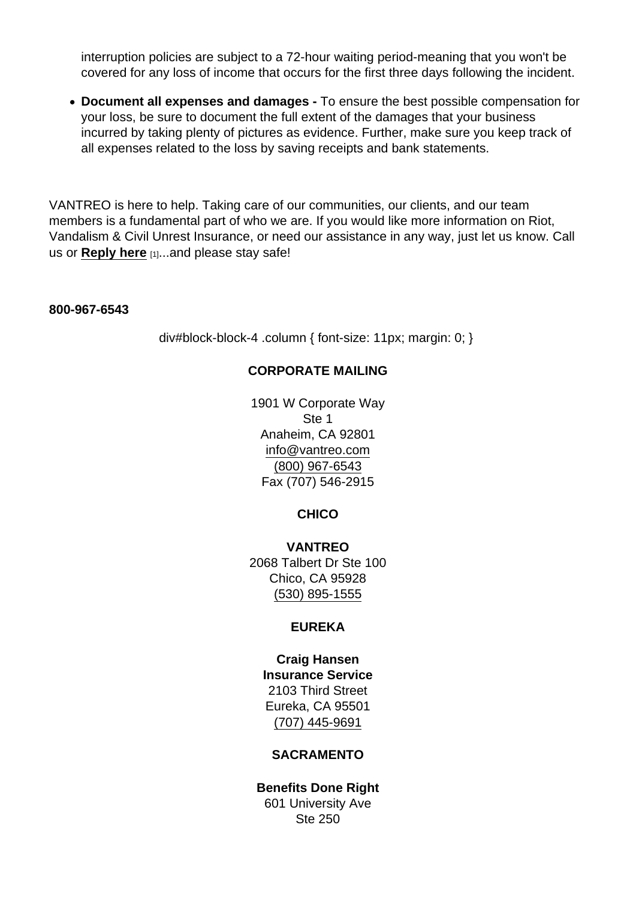interruption policies are subject to a 72-hour waiting period-meaning that you won't be covered for any loss of income that occurs for the first three days following the incident.

Document all expenses and damages - To ensure the best possible compensation for your loss, be sure to document the full extent of the damages that your business incurred by taking plenty of pictures as evidence. Further, make sure you keep track of all expenses related to the loss by saving receipts and bank statements.

VANTREO is here to help. Taking care of our communities, our clients, and our team members is a fundamental part of who we are. If you would like more information on Riot, Vandalism & Civil Unrest Insurance, or need our assistance in any way, just let us know. Call us or [Reply here](mailto:executiveservices@vantreo.com?subject=Essential Mention:  Insurance Considerations for Riots, Vandalism & Civil Unrest) [1]...and please stay safe!

800-967-6543

div#block-block-4 .column { font-size: 11px; margin: 0; }

## CORPORATE MAILING

1901 W Corporate Way Ste 1 Anaheim, CA 92801 [info@vantreo.com](mailto:info@vantreo.com) [\(800\) 967-6543](tel:1-800-967-6543) Fax (707) 546-2915

**CHICO** 

VANTREO 2068 Talbert Dr Ste 100 Chico, CA 95928 [\(530\) 895-1555](tel:530-895-1555)

## EUREKA

Craig Hansen Insurance Service 2103 Third Street Eureka, CA 95501 [\(707\) 445-9691](tel:707-445-9691)

# SACRAMENTO

Benefits Done Right 601 University Ave Ste 250